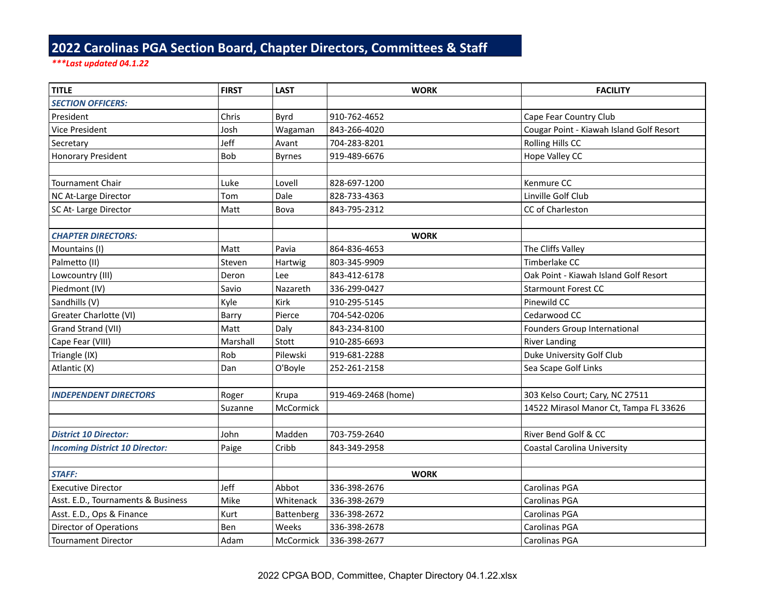## **2022 Carolinas PGA Section Board, Chapter Directors, Committees & Staff**

## *\*\*\*Last updated 04.1.22*

| <b>TITLE</b>                          | <b>FIRST</b> | <b>LAST</b>   | <b>WORK</b>         | <b>FACILITY</b>                          |
|---------------------------------------|--------------|---------------|---------------------|------------------------------------------|
| <b>SECTION OFFICERS:</b>              |              |               |                     |                                          |
| President                             | Chris        | <b>Byrd</b>   | 910-762-4652        | Cape Fear Country Club                   |
| Vice President                        | Josh         | Wagaman       | 843-266-4020        | Cougar Point - Kiawah Island Golf Resort |
| Secretary                             | Jeff         | Avant         | 704-283-8201        | Rolling Hills CC                         |
| <b>Honorary President</b>             | Bob          | <b>Byrnes</b> | 919-489-6676        | Hope Valley CC                           |
|                                       |              |               |                     |                                          |
| Tournament Chair                      | Luke         | Lovell        | 828-697-1200        | Kenmure CC                               |
| NC At-Large Director                  | Tom          | Dale          | 828-733-4363        | Linville Golf Club                       |
| SC At-Large Director                  | Matt         | Bova          | 843-795-2312        | CC of Charleston                         |
|                                       |              |               |                     |                                          |
| <b>CHAPTER DIRECTORS:</b>             |              |               | <b>WORK</b>         |                                          |
| Mountains (I)                         | Matt         | Pavia         | 864-836-4653        | The Cliffs Valley                        |
| Palmetto (II)                         | Steven       | Hartwig       | 803-345-9909        | Timberlake CC                            |
| Lowcountry (III)                      | Deron        | Lee           | 843-412-6178        | Oak Point - Kiawah Island Golf Resort    |
| Piedmont (IV)                         | Savio        | Nazareth      | 336-299-0427        | <b>Starmount Forest CC</b>               |
| Sandhills (V)                         | Kyle         | Kirk          | 910-295-5145        | Pinewild CC                              |
| Greater Charlotte (VI)                | Barry        | Pierce        | 704-542-0206        | Cedarwood CC                             |
| Grand Strand (VII)                    | Matt         | Daly          | 843-234-8100        | Founders Group International             |
| Cape Fear (VIII)                      | Marshall     | Stott         | 910-285-6693        | <b>River Landing</b>                     |
| Triangle (IX)                         | Rob          | Pilewski      | 919-681-2288        | Duke University Golf Club                |
| Atlantic (X)                          | Dan          | O'Boyle       | 252-261-2158        | Sea Scape Golf Links                     |
|                                       |              |               |                     |                                          |
| <b>INDEPENDENT DIRECTORS</b>          | Roger        | Krupa         | 919-469-2468 (home) | 303 Kelso Court; Cary, NC 27511          |
|                                       | Suzanne      | McCormick     |                     | 14522 Mirasol Manor Ct, Tampa FL 33626   |
|                                       |              |               |                     |                                          |
| <b>District 10 Director:</b>          | John         | Madden        | 703-759-2640        | River Bend Golf & CC                     |
| <b>Incoming District 10 Director:</b> | Paige        | Cribb         | 843-349-2958        | <b>Coastal Carolina University</b>       |
|                                       |              |               |                     |                                          |
| <b>STAFF:</b>                         |              |               | <b>WORK</b>         |                                          |
| <b>Executive Director</b>             | Jeff         | Abbot         | 336-398-2676        | Carolinas PGA                            |
| Asst. E.D., Tournaments & Business    | Mike         | Whitenack     | 336-398-2679        | Carolinas PGA                            |
| Asst. E.D., Ops & Finance             | Kurt         | Battenberg    | 336-398-2672        | Carolinas PGA                            |
| <b>Director of Operations</b>         | Ben          | Weeks         | 336-398-2678        | Carolinas PGA                            |
| <b>Tournament Director</b>            | Adam         | McCormick     | 336-398-2677        | Carolinas PGA                            |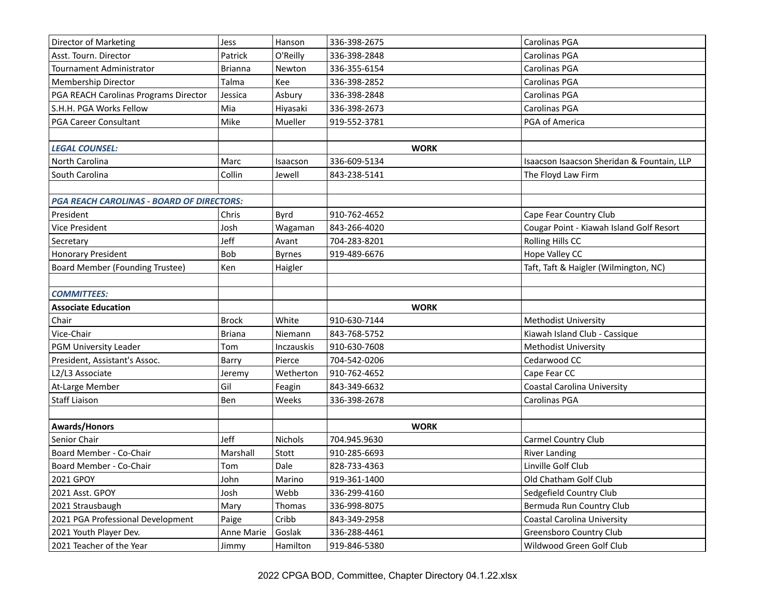| <b>Director of Marketing</b>                     | <b>Jess</b>    | Hanson            | 336-398-2675 | Carolinas PGA                              |
|--------------------------------------------------|----------------|-------------------|--------------|--------------------------------------------|
| Asst. Tourn. Director                            | Patrick        | O'Reilly          | 336-398-2848 | Carolinas PGA                              |
| <b>Tournament Administrator</b>                  | <b>Brianna</b> | Newton            | 336-355-6154 | Carolinas PGA                              |
| Membership Director                              | Talma          | Kee               | 336-398-2852 | Carolinas PGA                              |
| PGA REACH Carolinas Programs Director            | Jessica        | Asbury            | 336-398-2848 | Carolinas PGA                              |
| S.H.H. PGA Works Fellow                          | Mia            | Hiyasaki          | 336-398-2673 | Carolinas PGA                              |
| <b>PGA Career Consultant</b>                     | Mike           | Mueller           | 919-552-3781 | PGA of America                             |
|                                                  |                |                   |              |                                            |
| <b>LEGAL COUNSEL:</b>                            |                |                   | <b>WORK</b>  |                                            |
| North Carolina                                   | Marc           | Isaacson          | 336-609-5134 | Isaacson Isaacson Sheridan & Fountain, LLP |
| South Carolina                                   | Collin         | Jewell            | 843-238-5141 | The Floyd Law Firm                         |
|                                                  |                |                   |              |                                            |
| <b>PGA REACH CAROLINAS - BOARD OF DIRECTORS:</b> |                |                   |              |                                            |
| President                                        | Chris          | Byrd              | 910-762-4652 | Cape Fear Country Club                     |
| <b>Vice President</b>                            | Josh           | Wagaman           | 843-266-4020 | Cougar Point - Kiawah Island Golf Resort   |
| Secretary                                        | Jeff           | Avant             | 704-283-8201 | Rolling Hills CC                           |
| <b>Honorary President</b>                        | <b>Bob</b>     | <b>Byrnes</b>     | 919-489-6676 | Hope Valley CC                             |
| <b>Board Member (Founding Trustee)</b>           | Ken            | Haigler           |              | Taft, Taft & Haigler (Wilmington, NC)      |
|                                                  |                |                   |              |                                            |
| <b>COMMITTEES:</b>                               |                |                   |              |                                            |
| <b>Associate Education</b>                       |                |                   | <b>WORK</b>  |                                            |
| Chair                                            | <b>Brock</b>   | White             | 910-630-7144 | <b>Methodist University</b>                |
| Vice-Chair                                       | <b>Briana</b>  | Niemann           | 843-768-5752 | Kiawah Island Club - Cassique              |
| PGM University Leader                            | Tom            | <b>Inczauskis</b> | 910-630-7608 | Methodist University                       |
| President, Assistant's Assoc.                    | Barry          | Pierce            | 704-542-0206 | Cedarwood CC                               |
| L2/L3 Associate                                  | Jeremy         | Wetherton         | 910-762-4652 | Cape Fear CC                               |
| At-Large Member                                  | Gil            | Feagin            | 843-349-6632 | <b>Coastal Carolina University</b>         |
| <b>Staff Liaison</b>                             | Ben            | Weeks             | 336-398-2678 | Carolinas PGA                              |
|                                                  |                |                   |              |                                            |
| <b>Awards/Honors</b>                             |                |                   | <b>WORK</b>  |                                            |
| Senior Chair                                     | Jeff           | Nichols           | 704.945.9630 | Carmel Country Club                        |
| Board Member - Co-Chair                          | Marshall       | Stott             | 910-285-6693 | <b>River Landing</b>                       |
| Board Member - Co-Chair                          | Tom            | Dale              | 828-733-4363 | Linville Golf Club                         |
| 2021 GPOY                                        | John           | Marino            | 919-361-1400 | Old Chatham Golf Club                      |
| 2021 Asst. GPOY                                  | Josh           | Webb              | 336-299-4160 | Sedgefield Country Club                    |
| 2021 Strausbaugh                                 | Mary           | Thomas            | 336-998-8075 | Bermuda Run Country Club                   |
| 2021 PGA Professional Development                | Paige          | Cribb             | 843-349-2958 | <b>Coastal Carolina University</b>         |
| 2021 Youth Player Dev.                           | Anne Marie     | Goslak            | 336-288-4461 | Greensboro Country Club                    |
| 2021 Teacher of the Year                         | Jimmy          | Hamilton          | 919-846-5380 | Wildwood Green Golf Club                   |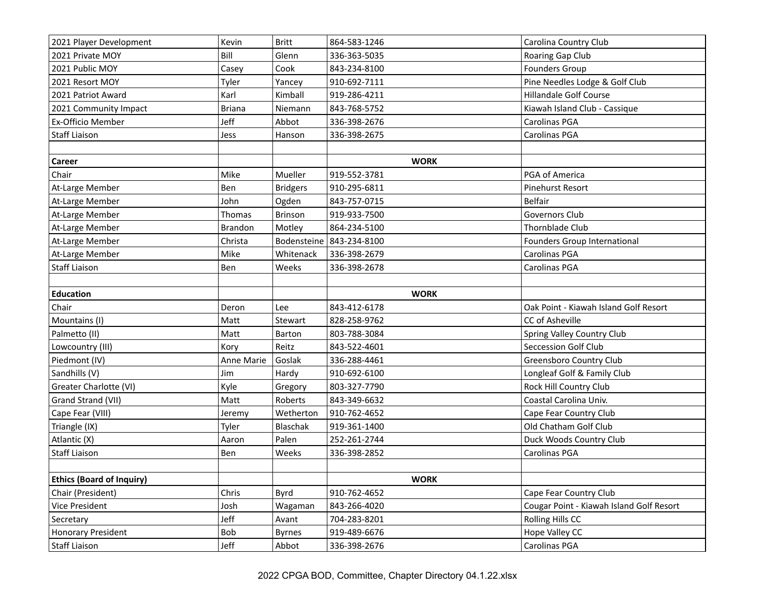| 2021 Player Development          | Kevin         | <b>Britt</b>    | 864-583-1246             | Carolina Country Club                    |
|----------------------------------|---------------|-----------------|--------------------------|------------------------------------------|
| 2021 Private MOY                 | Bill          | Glenn           | 336-363-5035             | Roaring Gap Club                         |
| 2021 Public MOY                  | Casey         | Cook            | 843-234-8100             | <b>Founders Group</b>                    |
| 2021 Resort MOY                  | Tyler         | Yancey          | 910-692-7111             | Pine Needles Lodge & Golf Club           |
| 2021 Patriot Award               | Karl          | Kimball         | 919-286-4211             | <b>Hillandale Golf Course</b>            |
| 2021 Community Impact            | <b>Briana</b> | Niemann         | 843-768-5752             | Kiawah Island Club - Cassique            |
| Ex-Officio Member                | Jeff          | Abbot           | 336-398-2676             | Carolinas PGA                            |
| <b>Staff Liaison</b>             | Jess          | Hanson          | 336-398-2675             | Carolinas PGA                            |
|                                  |               |                 |                          |                                          |
| Career                           |               |                 | <b>WORK</b>              |                                          |
| Chair                            | Mike          | Mueller         | 919-552-3781             | PGA of America                           |
| At-Large Member                  | Ben           | <b>Bridgers</b> | 910-295-6811             | Pinehurst Resort                         |
| At-Large Member                  | John          | Ogden           | 843-757-0715             | Belfair                                  |
| At-Large Member                  | Thomas        | Brinson         | 919-933-7500             | <b>Governors Club</b>                    |
| At-Large Member                  | Brandon       | Motley          | 864-234-5100             | Thornblade Club                          |
| At-Large Member                  | Christa       |                 | Bodensteine 843-234-8100 | Founders Group International             |
| At-Large Member                  | Mike          | Whitenack       | 336-398-2679             | Carolinas PGA                            |
| <b>Staff Liaison</b>             | Ben           | Weeks           | 336-398-2678             | Carolinas PGA                            |
|                                  |               |                 |                          |                                          |
| <b>Education</b>                 |               |                 | <b>WORK</b>              |                                          |
| Chair                            | Deron         | Lee             | 843-412-6178             | Oak Point - Kiawah Island Golf Resort    |
| Mountains (I)                    | Matt          | Stewart         | 828-258-9762             | CC of Asheville                          |
| Palmetto (II)                    | Matt          | Barton          | 803-788-3084             | Spring Valley Country Club               |
| Lowcountry (III)                 | Kory          | Reitz           | 843-522-4601             | Seccession Golf Club                     |
| Piedmont (IV)                    | Anne Marie    | Goslak          | 336-288-4461             | Greensboro Country Club                  |
| Sandhills (V)                    | Jim           | Hardy           | 910-692-6100             | Longleaf Golf & Family Club              |
| Greater Charlotte (VI)           | Kyle          | Gregory         | 803-327-7790             | Rock Hill Country Club                   |
| Grand Strand (VII)               | Matt          | Roberts         | 843-349-6632             | Coastal Carolina Univ.                   |
| Cape Fear (VIII)                 | Jeremy        | Wetherton       | 910-762-4652             | Cape Fear Country Club                   |
| Triangle (IX)                    | Tyler         | Blaschak        | 919-361-1400             | Old Chatham Golf Club                    |
| Atlantic (X)                     | Aaron         | Palen           | 252-261-2744             | Duck Woods Country Club                  |
| <b>Staff Liaison</b>             | Ben           | Weeks           | 336-398-2852             | Carolinas PGA                            |
|                                  |               |                 |                          |                                          |
| <b>Ethics (Board of Inquiry)</b> |               |                 | <b>WORK</b>              |                                          |
| Chair (President)                | Chris         | Byrd            | 910-762-4652             | Cape Fear Country Club                   |
| Vice President                   | Josh          | Wagaman         | 843-266-4020             | Cougar Point - Kiawah Island Golf Resort |
| Secretary                        | Jeff          | Avant           | 704-283-8201             | Rolling Hills CC                         |
| <b>Honorary President</b>        | Bob           | <b>Byrnes</b>   | 919-489-6676             | Hope Valley CC                           |
| <b>Staff Liaison</b>             | Jeff          | Abbot           | 336-398-2676             | Carolinas PGA                            |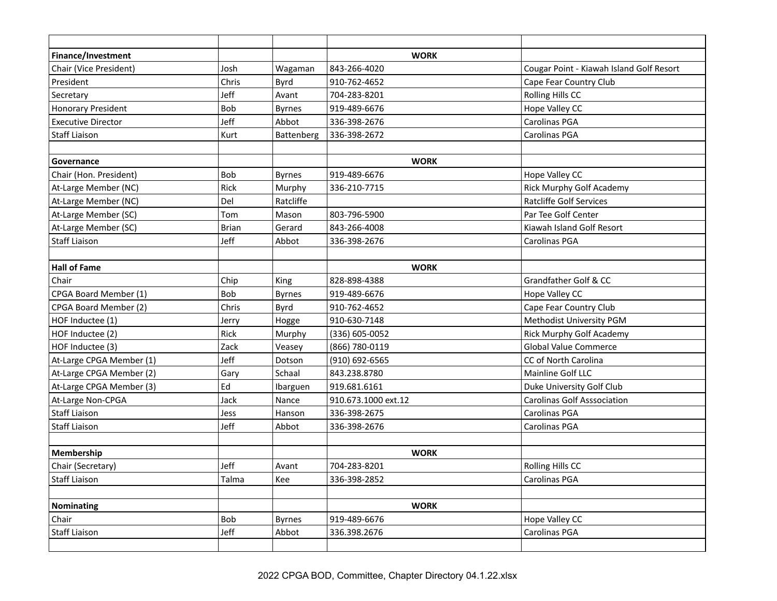| Finance/Investment        |              |               | <b>WORK</b>         |                                          |
|---------------------------|--------------|---------------|---------------------|------------------------------------------|
| Chair (Vice President)    | Josh         | Wagaman       | 843-266-4020        | Cougar Point - Kiawah Island Golf Resort |
| President                 | Chris        | <b>Byrd</b>   | 910-762-4652        | Cape Fear Country Club                   |
| Secretary                 | Jeff         | Avant         | 704-283-8201        | Rolling Hills CC                         |
| <b>Honorary President</b> | Bob          | <b>Byrnes</b> | 919-489-6676        | Hope Valley CC                           |
| <b>Executive Director</b> | Jeff         | Abbot         | 336-398-2676        | Carolinas PGA                            |
| <b>Staff Liaison</b>      | Kurt         | Battenberg    | 336-398-2672        | Carolinas PGA                            |
|                           |              |               |                     |                                          |
| Governance                |              |               | <b>WORK</b>         |                                          |
| Chair (Hon. President)    | <b>Bob</b>   | <b>Byrnes</b> | 919-489-6676        | Hope Valley CC                           |
| At-Large Member (NC)      | Rick         | Murphy        | 336-210-7715        | Rick Murphy Golf Academy                 |
| At-Large Member (NC)      | Del          | Ratcliffe     |                     | <b>Ratcliffe Golf Services</b>           |
| At-Large Member (SC)      | Tom          | Mason         | 803-796-5900        | Par Tee Golf Center                      |
| At-Large Member (SC)      | <b>Brian</b> | Gerard        | 843-266-4008        | Kiawah Island Golf Resort                |
| <b>Staff Liaison</b>      | Jeff         | Abbot         | 336-398-2676        | Carolinas PGA                            |
|                           |              |               |                     |                                          |
| <b>Hall of Fame</b>       |              |               | <b>WORK</b>         |                                          |
| Chair                     | Chip         | King          | 828-898-4388        | Grandfather Golf & CC                    |
| CPGA Board Member (1)     | Bob          | <b>Byrnes</b> | 919-489-6676        | Hope Valley CC                           |
| CPGA Board Member (2)     | Chris        | <b>Byrd</b>   | 910-762-4652        | Cape Fear Country Club                   |
| HOF Inductee (1)          | Jerry        | Hogge         | 910-630-7148        | Methodist University PGM                 |
| HOF Inductee (2)          | Rick         | Murphy        | (336) 605-0052      | Rick Murphy Golf Academy                 |
| HOF Inductee (3)          | Zack         | Veasey        | (866) 780-0119      | Global Value Commerce                    |
| At-Large CPGA Member (1)  | Jeff         | Dotson        | (910) 692-6565      | CC of North Carolina                     |
| At-Large CPGA Member (2)  | Gary         | Schaal        | 843.238.8780        | Mainline Golf LLC                        |
| At-Large CPGA Member (3)  | Ed           | Ibarguen      | 919.681.6161        | Duke University Golf Club                |
| At-Large Non-CPGA         | Jack         | Nance         | 910.673.1000 ext.12 | <b>Carolinas Golf Asssociation</b>       |
| <b>Staff Liaison</b>      | Jess         | Hanson        | 336-398-2675        | Carolinas PGA                            |
| <b>Staff Liaison</b>      | Jeff         | Abbot         | 336-398-2676        | Carolinas PGA                            |
|                           |              |               |                     |                                          |
| Membership                |              |               | <b>WORK</b>         |                                          |
| Chair (Secretary)         | Jeff         | Avant         | 704-283-8201        | Rolling Hills CC                         |
| <b>Staff Liaison</b>      | Talma        | Kee           | 336-398-2852        | Carolinas PGA                            |
|                           |              |               |                     |                                          |
| Nominating                |              |               | <b>WORK</b>         |                                          |
| Chair                     | Bob          | <b>Byrnes</b> | 919-489-6676        | Hope Valley CC                           |
| <b>Staff Liaison</b>      | Jeff         | Abbot         | 336.398.2676        | Carolinas PGA                            |
|                           |              |               |                     |                                          |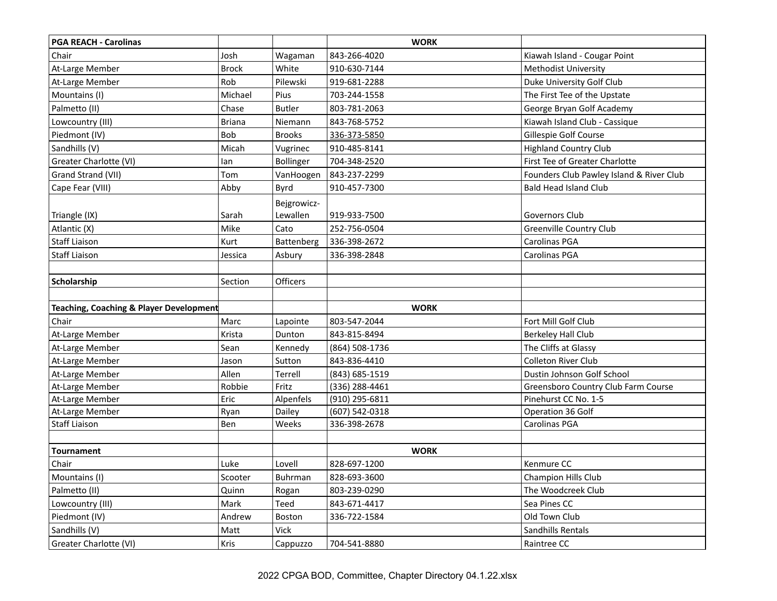| <b>PGA REACH - Carolinas</b>            |               |               | <b>WORK</b>    |                                          |
|-----------------------------------------|---------------|---------------|----------------|------------------------------------------|
| Chair                                   | Josh          | Wagaman       | 843-266-4020   | Kiawah Island - Cougar Point             |
| At-Large Member                         | <b>Brock</b>  | White         | 910-630-7144   | <b>Methodist University</b>              |
| At-Large Member                         | Rob           | Pilewski      | 919-681-2288   | Duke University Golf Club                |
| Mountains (I)                           | Michael       | Pius          | 703-244-1558   | The First Tee of the Upstate             |
| Palmetto (II)                           | Chase         | <b>Butler</b> | 803-781-2063   | George Bryan Golf Academy                |
| Lowcountry (III)                        | <b>Briana</b> | Niemann       | 843-768-5752   | Kiawah Island Club - Cassique            |
| Piedmont (IV)                           | Bob           | <b>Brooks</b> | 336-373-5850   | Gillespie Golf Course                    |
| Sandhills (V)                           | Micah         | Vugrinec      | 910-485-8141   | <b>Highland Country Club</b>             |
| Greater Charlotte (VI)                  | lan           | Bollinger     | 704-348-2520   | First Tee of Greater Charlotte           |
| Grand Strand (VII)                      | Tom           | VanHoogen     | 843-237-2299   | Founders Club Pawley Island & River Club |
| Cape Fear (VIII)                        | Abby          | Byrd          | 910-457-7300   | <b>Bald Head Island Club</b>             |
|                                         |               | Bejgrowicz-   |                |                                          |
| Triangle (IX)                           | Sarah         | Lewallen      | 919-933-7500   | Governors Club                           |
| Atlantic (X)                            | Mike          | Cato          | 252-756-0504   | <b>Greenville Country Club</b>           |
| <b>Staff Liaison</b>                    | Kurt          | Battenberg    | 336-398-2672   | Carolinas PGA                            |
| <b>Staff Liaison</b>                    | Jessica       | Asbury        | 336-398-2848   | Carolinas PGA                            |
|                                         |               |               |                |                                          |
| Scholarship                             | Section       | Officers      |                |                                          |
|                                         |               |               |                |                                          |
| Teaching, Coaching & Player Development |               |               | <b>WORK</b>    |                                          |
| Chair                                   | Marc          | Lapointe      | 803-547-2044   | Fort Mill Golf Club                      |
| At-Large Member                         | Krista        | Dunton        | 843-815-8494   | <b>Berkeley Hall Club</b>                |
| At-Large Member                         | Sean          | Kennedy       | (864) 508-1736 | The Cliffs at Glassy                     |
| At-Large Member                         | Jason         | Sutton        | 843-836-4410   | Colleton River Club                      |
| At-Large Member                         | Allen         | Terrell       | (843) 685-1519 | Dustin Johnson Golf School               |
| At-Large Member                         | Robbie        | Fritz         | (336) 288-4461 | Greensboro Country Club Farm Course      |
| At-Large Member                         | Eric          | Alpenfels     | (910) 295-6811 | Pinehurst CC No. 1-5                     |
| At-Large Member                         | Ryan          | Dailey        | (607) 542-0318 | Operation 36 Golf                        |
| <b>Staff Liaison</b>                    | Ben           | Weeks         | 336-398-2678   | Carolinas PGA                            |
|                                         |               |               |                |                                          |
| <b>Tournament</b>                       |               |               | <b>WORK</b>    |                                          |
| Chair                                   | Luke          | Lovell        | 828-697-1200   | Kenmure CC                               |
| Mountains (I)                           | Scooter       | Buhrman       | 828-693-3600   | Champion Hills Club                      |
| Palmetto (II)                           | Quinn         | Rogan         | 803-239-0290   | The Woodcreek Club                       |
| Lowcountry (III)                        | Mark          | Teed          | 843-671-4417   | Sea Pines CC                             |
| Piedmont (IV)                           | Andrew        | Boston        | 336-722-1584   | Old Town Club                            |
| Sandhills (V)                           | Matt          | Vick          |                | Sandhills Rentals                        |
| Greater Charlotte (VI)                  | Kris          | Cappuzzo      | 704-541-8880   | Raintree CC                              |